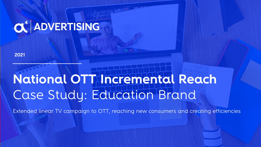# OU ADVERTISING

**2021**

# **National OTT Incremental Reach**  Case Study: Education Brand

Extended linear TV campaign to OTT, reaching new consumers and creating efficiencies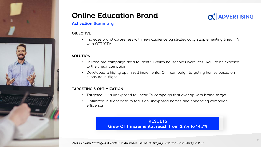

# **Online Education Brand**



## **Activation Summary**

#### **OBJECTIVE**

• Increase brand awareness with new audience by strategically supplementing linear TV with OTT/CTV

### **SOLUTION**

- Utilized pre-campaign data to identify which households were less likely to be exposed to the linear campaign
- Developed a highly optimized incremental OTT campaign targeting homes based on exposure in-flight

### **TARGETING & OPTIMIZATION**

- Targeted HH's unexposed to linear TV campaign that overlap with brand target
- Optimized in-flight data to focus on unexposed homes and enhancing campaign efficiency

# **RESULTS Grew OTT incremental reach from 3.7% to 14.7%**

VAB's Proven Strategies & Tactics In Audience-Based TV Buying *Featured Case Study in 2021!*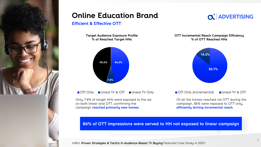

# **Online Education Brand**

## **Efficient & Effective OTT**

**Target Audience Exposure Profile % of Reached Target HHs**



■ OTT Only ■ Linear TV & OTT ■ Linear TV Only

Only 7.8% of target HHs were exposed to the ad on both linear and OTT, confirming the campaign **reached primarily new homes.** 

 $\alpha^4$  ADVERTISING

**OTT Incremental Reach Campaign Efficiency % of OTT Reached HHs**



OTT Only (Incremental) Linear TV & OTT

Of all the homes reached via OTT during the campaign, 86% were exposed to OTT only, **efficiently driving incremental reach**.

## **86% of OTT impressions were served to HH not exposed to linear campaign**

VAB's Proven Strategies & Tactics In Audience-Based TV Buying *Featured Case Study in 2021!*